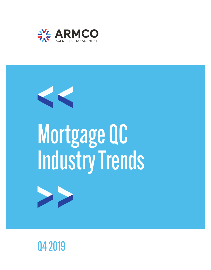



# Mortgage QC Industry Trends



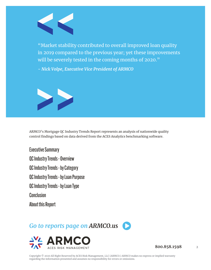

"Market stability contributed to overall improved loan quality in 2019 compared to the previous year; yet these improvements will be severely tested in the coming months of 2020."

*- Nick Volpe, Executive Vice President of ARMCO*



ARMCO's Mortgage QC Industry Trends Report represents an analysis of nationwide quality control findings based on data derived from the ACES Analytics benchmarking software.

Executive Summary QC Industry Trends - Overview QC Industry Trends - by Category QC Industry Trends - by Loan Purpose QC Industry Trends - by Loan Type **Conclusion** 

About this Report

#### *[Go to reports page on ARMCO.us](https://www.armco.us/learn/reports)*



**800.858.1598** 2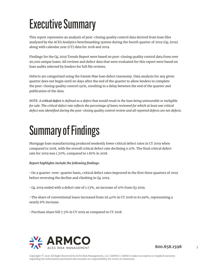# Executive Summary

This report represents an analysis of post-closing quality control data derived from loan files analyzed by the ACES Analytics benchmarking system during the fourth quarter of 2019 (Q4 2019) along with calendar year (CY) data for 2018 and 2019.

Findings for the Q4 2019 Trends Report were based on post-closing quality control data from over 90,000 unique loans. All reviews and defect data that were evaluated for this report were based on loan audits selected by lenders for full file reviews.

Defects are categorized using the Fannie Mae loan defect taxonomy. Data analysis for any given quarter does not begin until 90 days after the end of the quarter to allow lenders to complete the post-closing quality control cycle, resulting in a delay between the end of the quarter and publication of the data.

*NOTE: A critical defect is defined as a defect that would result in the loan being uninsurable or ineligible for sale. The critical defect rate reflects the percentage of loans reviewed for which at least one critical defect was identified during the post-closing quality control review and all reported defects are net defects.* 

## Summary of Findings

Mortgage loan manufacturing produced modestly lower critical defect rates in CY 2019 when compared to 2018, with the overall critical defect rate declining 0.11%. The final critical defect rate for 2019 was 1.70%, compared to 1.81% in 2018.

*Report highlights include the following findings:*

• On a quarter-over-quarter basis, critical defect rates improved in the first three quarters of 2019 before reversing the decline and climbing in Q4 2019.

• Q4 2019 ended with a defect rate of 1.73%, an increase of 11% from Q3 2019.

• The share of conventional loans increased from 56.40% in CY 2018 to 61.99%, representing a nearly 6% increase.

• Purchase share fell 7.5% in CY 2019 as compared to CY 2018.

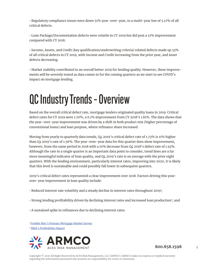• Regulatory compliance issues were down 51% year-over-year, to a multi-year low of 5.17% of all critical defects.

• Loan Package/Documentation defects were volatile in CY 2019 but did post a 12% improvement compared with CY 2018.

• Income, Assets, and Credit (key qualification/underwriting criteria) related defects made up 53% of all critical defects in CY 2019, with Income and Credit increasing from the prior year, and Asset defects decreasing.

• Market stability contributed to an overall better 2019 for lending quality. However, these improvements will be severely tested as data comes in for the coming quarters as we start to see COVID's impact on mortgage lending.

### QC Industry Trends – Overview

Based on the overall critical defect rate, mortgage lenders originated quality loans in 2019. Critical defect rates for CY 2019 were 1.70%, a 6.1% improvement from CY 2018's 1.81%. The data shows that the year-over-year improvement was driven by a shift in both product mix (higher percentage of conventional loans) and loan purpose, where refinance share increased.

Moving from yearly to quarterly data trends, Q4 2019's critical defect rate of 1.73% is 11% higher than Q3 2019's rate of 1.56%. The year-over-year data for this quarter does show improvement, however, from the same period in 2018 with a 10% decrease from Q4 2018's defect rate of 1.93%. Although the rate in a single quarter is an important data point to consider, trend lines are a far more meaningful indicator of loan quality, and Q4 2019's rate is on average with the prior eight quarters. With the lending environment, particularly interest rates, improving into 2020, it is likely that this level is sustainable and could possibly fall lower in subsequent quarters.

2019's critical defect rates represented a clear improvement over 2018. Factors driving this yearover-year improvement in loan quality include:

- $\cdot$  Reduced interest rate volatility and a steady decline in interest rates throughout 2019';
- Strong lending profitability driven by declining interest rates and increased loan production<sup>2</sup>; and
- A sustained spike in refinances due to declining interest rates.

<sup>1</sup> [Freddie Mac's Primary Mortgage Market Survey](http://www.freddiemac.com/pmms/archive.html?year=2019)

<sup>2</sup> [MBA's Profitability Report](https://www.mba.org/store/products/market-and-research-data/annual-mortgage-bankers-performance-report-(2019-data))



**800.858.1598** 4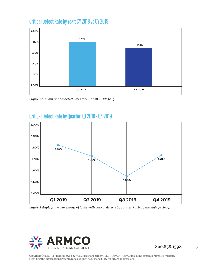#### Critical Defect Rate by Year: CY 2018 vs CY 2019



*Figure 1 displays critical defect rates for CY 2018 vs. CY 2019.*





*Figure 2 displays the percentage of loans with critical defects by quarter, Q1 2019 through Q4 2019.*



**800.858.1598** 5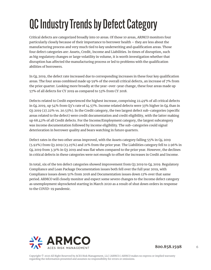# QC Industry Trends by Defect Category

Critical defects are categorized broadly into 10 areas. Of those 10 areas, ARMCO monitors four particularly closely because of their importance to borrower health – they are less about the manufacturing process and very much tied to key underwriting and qualification areas. Those four defect categories are: Assets, Credit, Income and Liabilities. In times of disruption, such as big regulatory changes or large volatility in volume, it is worth investigation whether that disruption has affected the manufacturing process or led to problems with the qualification abilities of borrowers.

In Q4 2019, the defect rate increased due to corresponding increases in these four key qualification areas. The four areas combined made up 59% of the overall critical defects, an increase of 7% from the prior quarter. Looking more broadly at the year-over-year change, these four areas made up 57% of all defects for CY 2019 as compared to 53% from CY 2018.

Defects related to Credit experienced the highest increase, comprising 22.49% of all critical defects in Q4 2019, up 54% from Q3's rate of 14.57%. Income related defects were 33% higher in Q4 than in Q3 2019 (27.22% vs. 20.53%). In the Credit category, the two largest defect sub-categories (specific areas related to the defect) were credit documentation and credit eligibility, with the latter making up 68.42% of all Credit defects. For the Income/Employment category, the largest subcategory was income documentation followed by income eligibility. The sub-categories could signal deterioration in borrower quality and bears watching in future quarters.

Defect rates in the two other areas improved, with the Assets category falling 55% in Q4 2019 (5.92%) from Q3 2019 (13.25%) and 21% from the prior year. The Liabilities category fell to 2.96% in Q4 2019 from 3.31% in Q3 2019 and was flat when compared to the prior year. However, the declines in critical defects in these categories were not enough to offset the increases in Credit and Income.

In total, six of the ten defect categories showed improvement from Q3 2019 to Q4 2019. Regulatory Compliance and Loan Package Documentation issues both fell over the full year 2019, with Compliance issues down 51% from 2018 and Documentation issues down 12% over that same period. ARMCO will closely monitor and expect some severe changes to the Income defect category as unemployment skyrocketed starting in March 2020 as a result of shut down orders in response to the COVID-19 pandemic.



**800.858.1598** 6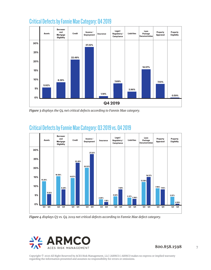

#### Critical Defects by Fannie Mae Category: Q4 2019

*Figure 3 displays the Q4 net critical defects according to Fannie Mae category.*



#### Critical Defects by Fannie Mae Category: Q3 2019 vs. Q4 2019

*Figure 4 displays Q3 vs. Q4 2019 net critical defects according to Fannie Mae defect category.*

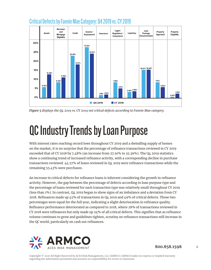

#### Critical Defects by Fannie Mae Category: Q4 2019 vs. CY 2019

*Figure 5 displays the Q4 2019 vs. CY 2019 net critical defects according to Fannie Mae category.*

### QC Industry Trends by Loan Purpose

With interest rates reaching record lows throughout CY 2019 and a dwindling supply of homes on the market, it is no surprise that the percentage of refinance transactions reviewed in CY 2019 exceeded that of CY 2018 by 7.48% (an increase from 27.91% to 35.39%). The Q4 2019 statistics show a continuing trend of increased refinance activity, with a corresponding decline in purchase transactions reviewed. 44.57% of loans reviewed in Q4 2019 were refinance transactions while the remaining 55.43% were purchases.

An increase in critical defects for refinance loans is inherent considering the growth in refinance activity. However, the gap between the percentage of defects according to loan purpose type and the percentage of loans reviewed for each transaction type was relatively small throughout CY 2019 (less than 1%). In contrast, Q4 2019 began to show signs of an imbalance and a deviation from CY 2018. Refinances made up 45% of transactions in Q4 2019 and 49% of critical defects. Those two percentages were equal for the full year, indicating a slight deterioration in refinance quality. Refinance performance deteriorated as compared to 2018, where 28% of transactions reviewed in CY 2018 were refinances but only made up 24% of all critical defects. This signifies that as refinance volume continues to grow and guidelines tighten, scrutiny on refinance transactions will increase in the QC world, particularly on cash out refinances.

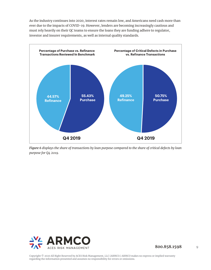As the industry continues into 2020, interest rates remain low, and Americans need cash more than ever due to the impacts of COVID-19. However, lenders are becoming increasingly cautious and must rely heavily on their QC teams to ensure the loans they are funding adhere to regulator, investor and insurer requirements, as well as internal quality standards.



*Figure 6 displays the share of transactions by loan purpose compared to the share of critical defects by loan purpose for Q4 2019.*

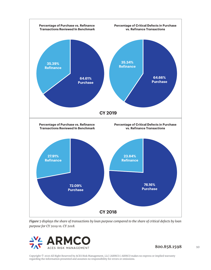

*Figure 7 displays the share of transactions by loan purpose compared to the share of critical defects by loan purpose for CY 2019 vs. CY 2018.*



**800.858.1598** 10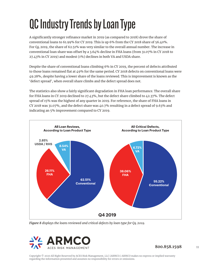# QC Industry Trends by Loan Type

A significantly stronger refinance market in 2019 (as compared to 2018) drove the share of conventional loans to 61.99% for CY 2019. This is up 6% from the CY 2018 share of 56.40%. For Q4 2019, the share of 62.51% was very similar to the overall annual number. The increase in conventional loan share was offset by a 3.64% decline in FHA loans (from 31.07% in CY 2018 to 27.43% in CY 2019) and modest (1%) declines in both VA and USDA share.

Despite the share of conventional loans climbing 6% in CY 2019, the percent of defects attributed to those loans remained flat at 49% for the same period. CY 2018 defects on conventional loans were 49.28%, despite having a lower share of the loans reviewed. This is improvement is known as the 'defect spread', when overall share climbs and the defect spread does not.

The statistics also show a fairly significant degradation in FHA loan performance. The overall share for FHA loans in CY 2019 declined to 27.43%, but the defect share climbed to 42.37%. The defect spread of 15% was the highest of any quarter in 2019. For reference, the share of FHA loans in CY 2018 was 31.07%, and the defect share was 40.7% resulting in a defect spread of 9.63% and indicating an 5% improvement compared to CY 2019.



*Figure 8 displays the loans reviewed and critical defects by loan type for Q4 2019.*

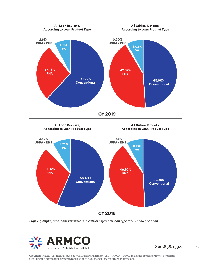

*Figure 9 displays the loans reviewed and critical defects by loan type for CY 2019 and 2018.*

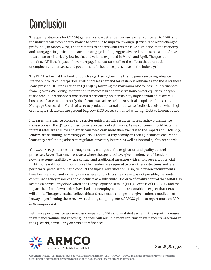## Conclusion

The quality statistics for CY 2019 generally show better performance when compared to 2018, and the industry can expect performance to continue to improve through Q1 2020. The world changed profoundly in March 2020, and it remains to be seen what this massive disruption to the economy and mortgages in particular means to mortgage lending. Aggressive Federal Reserve action drove rates down to historically low levels, and volume exploded in March and April. The question remains, "Will the impact of low mortgage interest rates offset the effects that dramatic unemployment increases, and government forbearance plans have on the industry?"

The FHA has been at the forefront of change, having been the first to give a servicing advance lifeline out to its counterparties. It also foresees demand for cash-out refinances and the risks those loans present. HUD took action in Q3 2019 by lowering the maximum LTV for cash-out refinances from 85% to 80%, citing its intention to reduce risk and preserve homeowner equity as it began to see cash-out refinance transactions representing an increasingly large portion of its overall business. That was not the only risk factor HUD addressed in 2019; it also updated the TOTAL Mortgage Scorecard in March of 2019 to produce a manual underwrite feedback decision when high or multiple risk factors are present (e.g. low FICO scores combined with high Debt to Income ratios).

Increases in refinance volume and stricter guidelines will result in more scrutiny on refinance transactions in the QC world, particularly on cash out refinances. As we continue into 2020, while interest rates are still low and Americans need cash more than ever due to the impacts of COVID-19, lenders are becoming increasingly cautious and must rely heavily on their QC teams to ensure the loans they are funding adhere to regulator, investor, insurer, as well as internal quality standards.

The COVID-19 pandemic has brought many changes to the origination and quality control processes. Reverifications is one area where the agencies have given lenders relief. Lenders now have some flexibility where contact and traditional measures with employees and financial institutions is difficult, if not impossible. Lenders are required to track these situations and later perform targeted sampling to conduct the typical reverification. Also, field review requirements have been relaxed, and in many cases where conducting a field review is not possible, the lender can utilize agency resources and checklists as a substitute. One area of quality control that ARMCO is keeping a particularly close watch on is Early Payment Default (EPD). Because of COVID-19 and the impact that shut-down orders have had on unemployment, it is reasonable to expect that EPDs will climb. The agencies also believe this and have made changes that give lenders a modicum of leeway in performing these reviews (utilizing sampling, etc.). ARMCO plans to report more on EPDs in coming reports.

Refinance performance worsened as compared to 2018 and as stated earlier in the report, increases in refinance volume and stricter guidelines, will result in more scrutiny on refinance transactions in the QC world, particularly on cash out refinances.